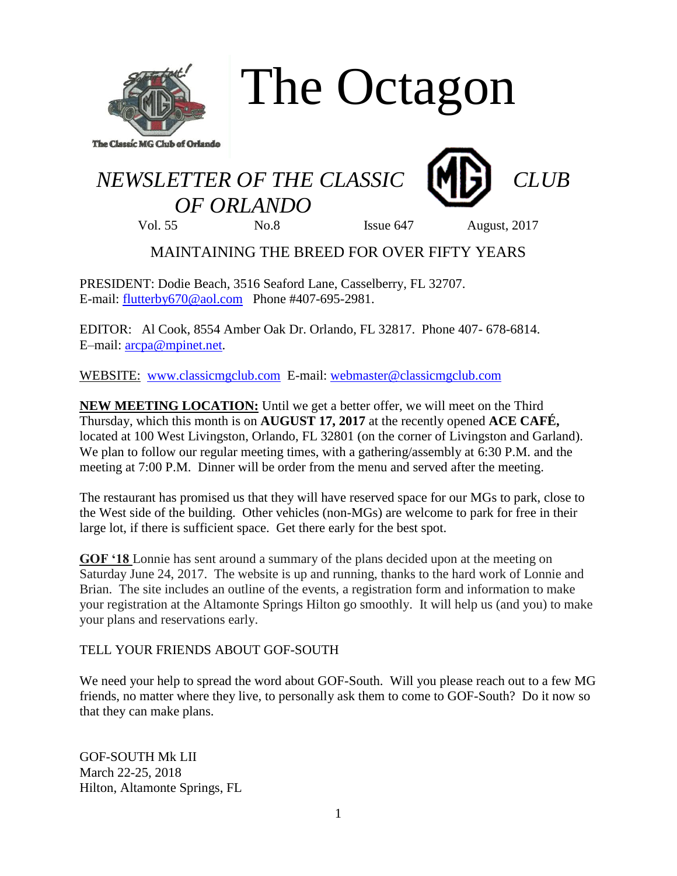

The Octagon

## *NEWSLETTER OF THE CLASSIC* [M]] *CLUB OF ORLANDO*



Vol. 55 No.8 Issue 647 August, 2017

## MAINTAINING THE BREED FOR OVER FIFTY YEARS

PRESIDENT: Dodie Beach, 3516 Seaford Lane, Casselberry, FL 32707. E-mail: [flutterby670@aol.com](mailto:flutterby670@aol.com) Phone #407-695-2981.

EDITOR: Al Cook, 8554 Amber Oak Dr. Orlando, FL 32817. Phone 407- 678-6814. E–mail: [arcpa@mpinet.net.](mailto:arcpa@mpinet.net)

WEBSITE: [www.classicmgclub.com](http://www.classicmgclub.com/) E-mail: [webmaster@classicmgclub.com](mailto:webmaster@classicmgclub.com)

**NEW MEETING LOCATION:** Until we get a better offer, we will meet on the Third Thursday, which this month is on **AUGUST 17, 2017** at the recently opened **ACE CAFÉ,**  located at 100 West Livingston, Orlando, FL 32801 (on the corner of Livingston and Garland). We plan to follow our regular meeting times, with a gathering/assembly at 6:30 P.M. and the meeting at 7:00 P.M. Dinner will be order from the menu and served after the meeting.

The restaurant has promised us that they will have reserved space for our MGs to park, close to the West side of the building. Other vehicles (non-MGs) are welcome to park for free in their large lot, if there is sufficient space. Get there early for the best spot.

**GOF '18** Lonnie has sent around a summary of the plans decided upon at the meeting on Saturday June 24, 2017. The website is up and running, thanks to the hard work of Lonnie and Brian. The site includes an outline of the events, a registration form and information to make your registration at the Altamonte Springs Hilton go smoothly. It will help us (and you) to make your plans and reservations early.

## TELL YOUR FRIENDS ABOUT GOF-SOUTH

We need your help to spread the word about GOF-South. Will you please reach out to a few MG friends, no matter where they live, to personally ask them to come to GOF-South? Do it now so that they can make plans.

GOF-SOUTH Mk LII March 22-25, 2018 Hilton, Altamonte Springs, FL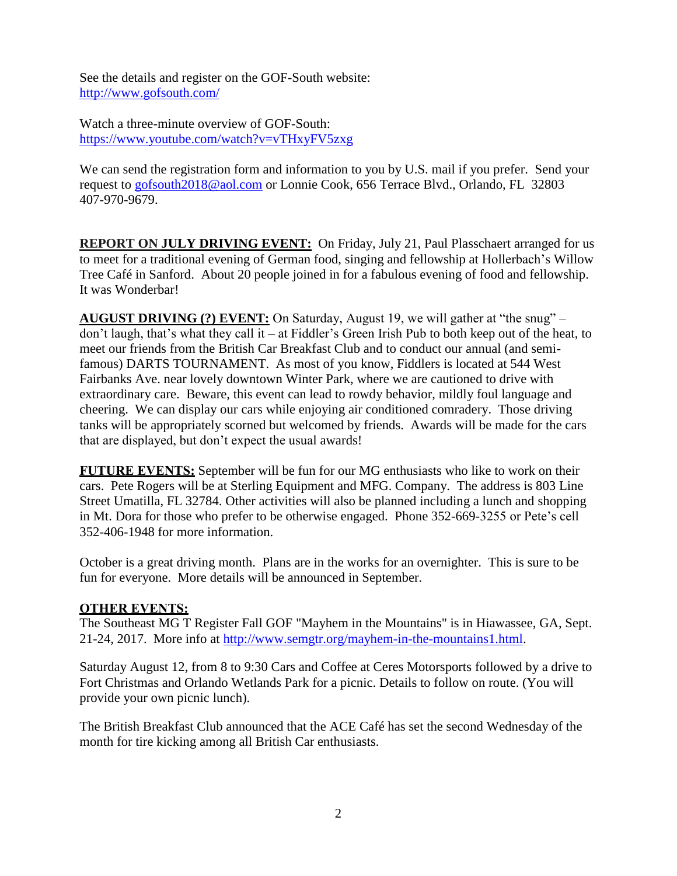See the details and register on the GOF-South website: <http://www.gofsouth.com/>

Watch a three-minute overview of GOF-South: <https://www.youtube.com/watch?v=vTHxyFV5zxg>

We can send the registration form and information to you by U.S. mail if you prefer. Send your request to [gofsouth2018@aol.com](mailto:gofsouth2018@aol.com) or Lonnie Cook, 656 Terrace Blvd., Orlando, FL 32803 407-970-9679.

**REPORT ON JULY DRIVING EVENT:** On Friday, July 21, Paul Plasschaert arranged for us to meet for a traditional evening of German food, singing and fellowship at Hollerbach's Willow Tree Café in Sanford. About 20 people joined in for a fabulous evening of food and fellowship. It was Wonderbar!

**AUGUST DRIVING (?) EVENT:** On Saturday, August 19, we will gather at "the snug" – don't laugh, that's what they call it – at Fiddler's Green Irish Pub to both keep out of the heat, to meet our friends from the British Car Breakfast Club and to conduct our annual (and semifamous) DARTS TOURNAMENT. As most of you know, Fiddlers is located at 544 West Fairbanks Ave. near lovely downtown Winter Park, where we are cautioned to drive with extraordinary care. Beware, this event can lead to rowdy behavior, mildly foul language and cheering. We can display our cars while enjoying air conditioned comradery. Those driving tanks will be appropriately scorned but welcomed by friends. Awards will be made for the cars that are displayed, but don't expect the usual awards!

**FUTURE EVENTS:** September will be fun for our MG enthusiasts who like to work on their cars. Pete Rogers will be at Sterling Equipment and MFG. Company. The address is 803 Line Street Umatilla, FL 32784. Other activities will also be planned including a lunch and shopping in Mt. Dora for those who prefer to be otherwise engaged. Phone 352-669-3255 or Pete's cell 352-406-1948 for more information.

October is a great driving month. Plans are in the works for an overnighter. This is sure to be fun for everyone. More details will be announced in September.

## **OTHER EVENTS:**

The Southeast MG T Register Fall GOF "Mayhem in the Mountains" is in Hiawassee, GA, Sept. 21-24, 2017. More info at [http://www.semgtr.org/mayhem-in-the-mountains1.html.](http://www.semgtr.org/mayhem-in-the-mountains1.html)

Saturday August 12, from 8 to 9:30 Cars and Coffee at Ceres Motorsports followed by a drive to Fort Christmas and Orlando Wetlands Park for a picnic. Details to follow on route. (You will provide your own picnic lunch).

The British Breakfast Club announced that the ACE Café has set the second Wednesday of the month for tire kicking among all British Car enthusiasts.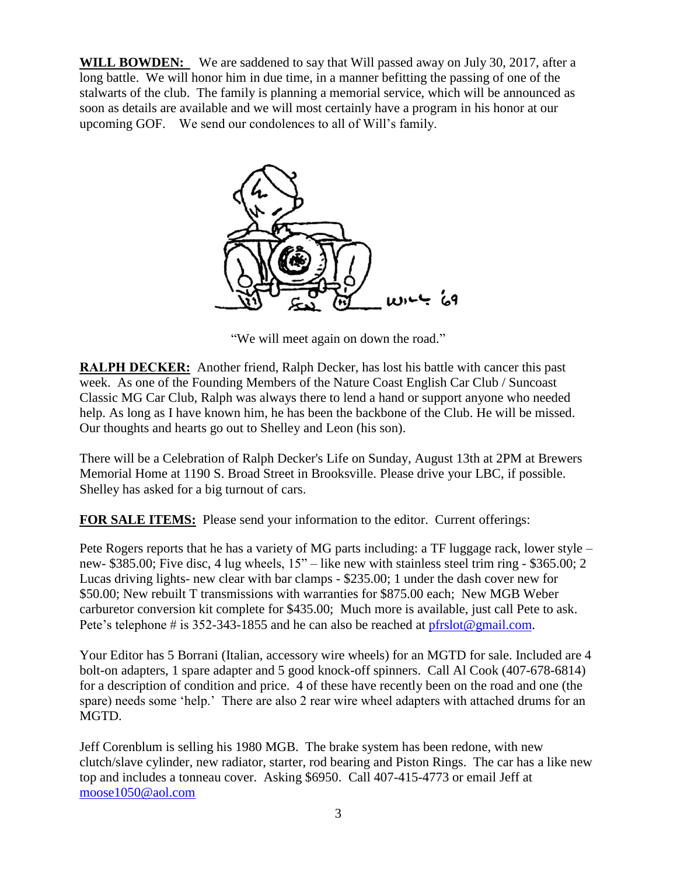**WILL BOWDEN:** We are saddened to say that Will passed away on July 30, 2017, after a long battle. We will honor him in due time, in a manner befitting the passing of one of the stalwarts of the club. The family is planning a memorial service, which will be announced as soon as details are available and we will most certainly have a program in his honor at our upcoming GOF. We send our condolences to all of Will's family.



"We will meet again on down the road."

**RALPH DECKER:** Another friend, Ralph Decker, has lost his battle with cancer this past week. As one of the Founding Members of the Nature Coast English Car Club / Suncoast Classic MG Car Club, Ralph was always there to lend a hand or support anyone who needed help. As long as I have known him, he has been the backbone of the Club. He will be missed. Our thoughts and hearts go out to Shelley and Leon (his son).

There will be a Celebration of Ralph Decker's Life on Sunday, August 13th at 2PM at Brewers Memorial Home at 1190 S. Broad Street in Brooksville. Please drive your LBC, if possible. Shelley has asked for a big turnout of cars.

**FOR SALE ITEMS:** Please send your information to the editor. Current offerings:

Pete Rogers reports that he has a variety of MG parts including: a TF luggage rack, lower style – new- \$385.00; Five disc, 4 lug wheels, 15" – like new with stainless steel trim ring - \$365.00; 2 Lucas driving lights- new clear with bar clamps - \$235.00; 1 under the dash cover new for \$50.00; New rebuilt T transmissions with warranties for \$875.00 each; New MGB Weber carburetor conversion kit complete for \$435.00; Much more is available, just call Pete to ask. Pete's telephone # is 352-343-1855 and he can also be reached at [pfrslot@gmail.com.](mailto:pfrslot@gmail.com)

Your Editor has 5 Borrani (Italian, accessory wire wheels) for an MGTD for sale. Included are 4 bolt-on adapters, 1 spare adapter and 5 good knock-off spinners. Call Al Cook (407-678-6814) for a description of condition and price. 4 of these have recently been on the road and one (the spare) needs some 'help.' There are also 2 rear wire wheel adapters with attached drums for an MGTD.

Jeff Corenblum is selling his 1980 MGB. The brake system has been redone, with new clutch/slave cylinder, new radiator, starter, rod bearing and Piston Rings. The car has a like new top and includes a tonneau cover. Asking \$6950. Call 407-415-4773 or email Jeff at [moose1050@aol.com](mailto:moose1050@aol.com)